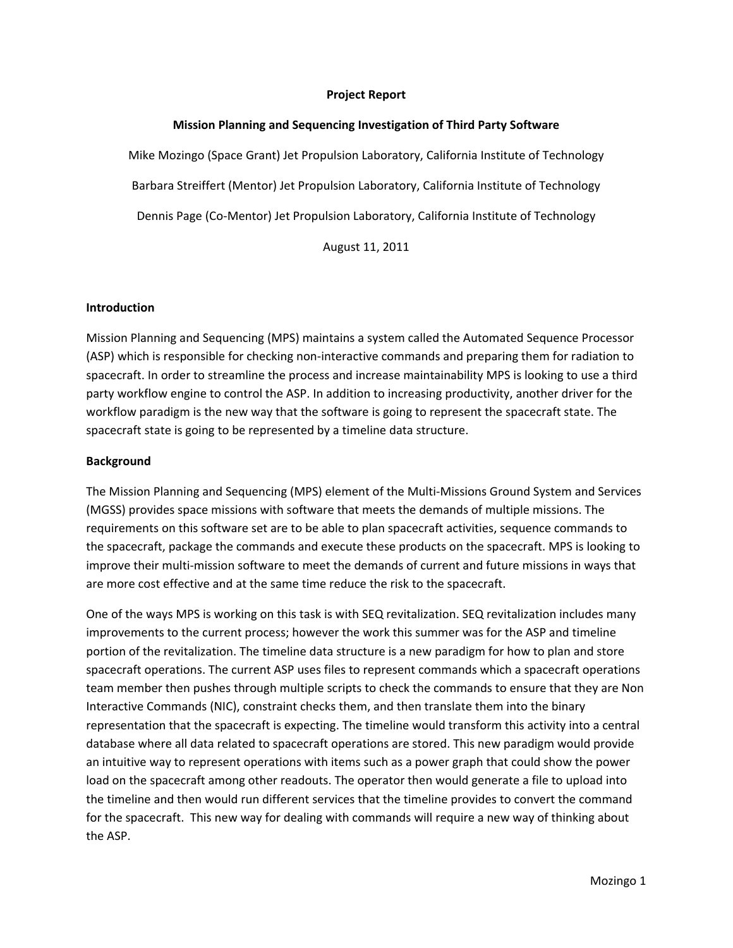#### **Project Report**

#### **Mission Planning and Sequencing Investigation of Third Party Software**

Mike Mozingo (Space Grant) Jet Propulsion Laboratory, California Institute of Technology Barbara Streiffert (Mentor) Jet Propulsion Laboratory, California Institute of Technology Dennis Page (Co‐Mentor) Jet Propulsion Laboratory, California Institute of Technology

August 11, 2011

#### **Introduction**

Mission Planning and Sequencing (MPS) maintains a system called the Automated Sequence Processor (ASP) which is responsible for checking non‐interactive commands and preparing them for radiation to spacecraft. In order to streamline the process and increase maintainability MPS is looking to use a third party workflow engine to control the ASP. In addition to increasing productivity, another driver for the workflow paradigm is the new way that the software is going to represent the spacecraft state. The spacecraft state is going to be represented by a timeline data structure.

#### **Background**

The Mission Planning and Sequencing (MPS) element of the Multi‐Missions Ground System and Services (MGSS) provides space missions with software that meets the demands of multiple missions. The requirements on this software set are to be able to plan spacecraft activities, sequence commands to the spacecraft, package the commands and execute these products on the spacecraft. MPS is looking to improve their multi-mission software to meet the demands of current and future missions in ways that are more cost effective and at the same time reduce the risk to the spacecraft.

One of the ways MPS is working on this task is with SEQ revitalization. SEQ revitalization includes many improvements to the current process; however the work this summer was for the ASP and timeline portion of the revitalization. The timeline data structure is a new paradigm for how to plan and store spacecraft operations. The current ASP uses files to represent commands which a spacecraft operations team member then pushes through multiple scripts to check the commands to ensure that they are Non Interactive Commands (NIC), constraint checks them, and then translate them into the binary representation that the spacecraft is expecting. The timeline would transform this activity into a central database where all data related to spacecraft operations are stored. This new paradigm would provide an intuitive way to represent operations with items such as a power graph that could show the power load on the spacecraft among other readouts. The operator then would generate a file to upload into the timeline and then would run different services that the timeline provides to convert the command for the spacecraft. This new way for dealing with commands will require a new way of thinking about the ASP.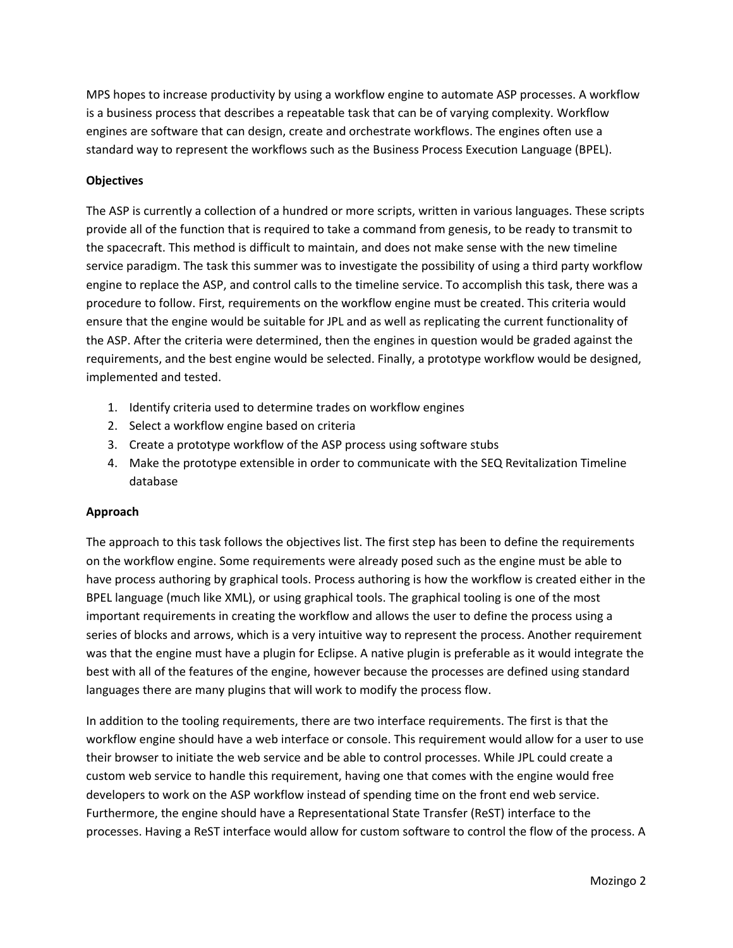MPS hopes to increase productivity by using a workflow engine to automate ASP processes. A workflow is a business process that describes a repeatable task that can be of varying complexity. Workflow engines are software that can design, create and orchestrate workflows. The engines often use a standard way to represent the workflows such as the Business Process Execution Language (BPEL).

# **Objectives**

The ASP is currently a collection of a hundred or more scripts, written in various languages. These scripts provide all of the function that is required to take a command from genesis, to be ready to transmit to the spacecraft. This method is difficult to maintain, and does not make sense with the new timeline service paradigm. The task this summer was to investigate the possibility of using a third party workflow engine to replace the ASP, and control calls to the timeline service. To accomplish this task, there was a procedure to follow. First, requirements on the workflow engine must be created. This criteria would ensure that the engine would be suitable for JPL and as well as replicating the current functionality of the ASP. After the criteria were determined, then the engines in question would be graded against the requirements, and the best engine would be selected. Finally, a prototype workflow would be designed, implemented and tested.

- 1. Identify criteria used to determine trades on workflow engines
- 2. Select a workflow engine based on criteria
- 3. Create a prototype workflow of the ASP process using software stubs
- 4. Make the prototype extensible in order to communicate with the SEQ Revitalization Timeline database

# **Approach**

The approach to this task follows the objectives list. The first step has been to define the requirements on the workflow engine. Some requirements were already posed such as the engine must be able to have process authoring by graphical tools. Process authoring is how the workflow is created either in the BPEL language (much like XML), or using graphical tools. The graphical tooling is one of the most important requirements in creating the workflow and allows the user to define the process using a series of blocks and arrows, which is a very intuitive way to represent the process. Another requirement was that the engine must have a plugin for Eclipse. A native plugin is preferable as it would integrate the best with all of the features of the engine, however because the processes are defined using standard languages there are many plugins that will work to modify the process flow.

In addition to the tooling requirements, there are two interface requirements. The first is that the workflow engine should have a web interface or console. This requirement would allow for a user to use their browser to initiate the web service and be able to control processes. While JPL could create a custom web service to handle this requirement, having one that comes with the engine would free developers to work on the ASP workflow instead of spending time on the front end web service. Furthermore, the engine should have a Representational State Transfer (ReST) interface to the processes. Having a ReST interface would allow for custom software to control the flow of the process. A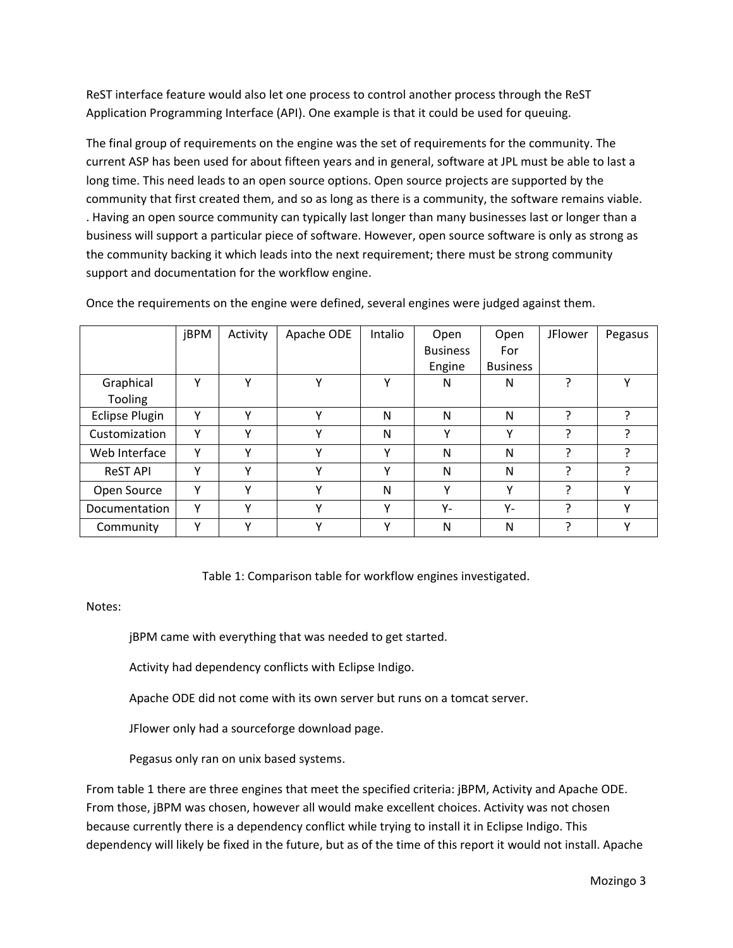ReST interface feature would also let one process to control another process through the ReST Application Programming Interface (API). One example is that it could be used for queuing.

The final group of requirements on the engine was the set of requirements for the community. The current ASP has been used for about fifteen years and in general, software at JPL must be able to last a long time. This need leads to an open source options. Open source projects are supported by the community that first created them, and so as long as there is a community, the software remains viable. . Having an open source community can typically last longer than many businesses last or longer than a business will support a particular piece of software. However, open source software is only as strong as the community backing it which leads into the next requirement; there must be strong community support and documentation for the workflow engine.

|                       | <b>jBPM</b> | Activity     | Apache ODE   | Intalio | Open            | Open            | <b>JFlower</b> | Pegasus      |
|-----------------------|-------------|--------------|--------------|---------|-----------------|-----------------|----------------|--------------|
|                       |             |              |              |         | <b>Business</b> | For             |                |              |
|                       |             |              |              |         | Engine          | <b>Business</b> |                |              |
| Graphical             | Υ           | Υ            | $\checkmark$ | Υ       | N               | N               | 2              | $\checkmark$ |
| Tooling               |             |              |              |         |                 |                 |                |              |
| <b>Eclipse Plugin</b> | Υ           | Y            | v            | N       | N               | N               | ς              |              |
| Customization         | Υ           | $\checkmark$ | $\checkmark$ | N       | v               | v               | ว              |              |
| Web Interface         | Υ           | $\checkmark$ | v            | Y       | N               | N               | ว              |              |
| <b>ReST API</b>       | Υ           | Y            | v            | Υ       | N               | N               | ς              |              |
| Open Source           | Υ           | v            | v            | N       | Υ               | Υ               | ς              | v            |
| Documentation         | Υ           | Y            | v            | Υ       | $Y -$           | Υ-              | $\mathcal{L}$  | $\checkmark$ |
| Community             | ٧           | v            | v            | Y       | N               | N               | ว              | $\checkmark$ |

Once the requirements on the engine were defined, several engines were judged against them.

Table 1: Comparison table for workflow engines investigated.

Notes:

jBPM came with everything that was needed to get started.

Activity had dependency conflicts with Eclipse Indigo.

Apache ODE did not come with its own server but runs on a tomcat server.

JFlower only had a sourceforge download page.

Pegasus only ran on unix based systems.

From table 1 there are three engines that meet the specified criteria: jBPM, Activity and Apache ODE. From those, jBPM was chosen, however all would make excellent choices. Activity was not chosen because currently there is a dependency conflict while trying to install it in Eclipse Indigo. This dependency will likely be fixed in the future, but as of the time of this report it would not install. Apache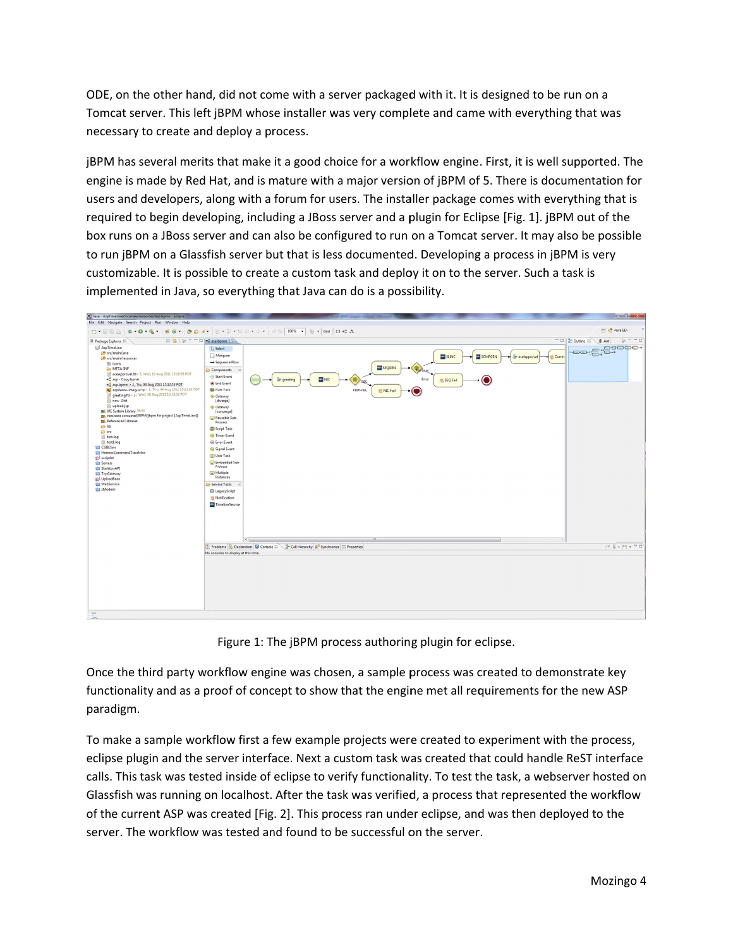ODE, on the other hand, did not come with a server packaged with it. It is designed to be run on a Tomcat server. This left jBPM whose installer was very complete and came with everything that was necessary to create and deploy a process.

jBPM has several merits that make it a good choice for a workflow engine. First, it is well supported. The engine is made by Red Hat, and is mature with a major version of jBPM of 5. There is documentation for users and developers, along with a forum for users. The installer package comes with everything that is required to begin developing, including a JBoss server and a plugin for Eclipse [Fig. 1]. jBPM out of the box runs on a JBoss server and can also be configured to run on a Tomcat server. It may also be possible to run jBPM on a Glassfish server but that is less documented. Developing a process in jBPM is very customizable. It is possible to create a custom task and deploy it on to the server. Such a task is implemented in Java, so everything that Java can do is a possibility.



Figure 1: The jBPM process authoring plugin for eclipse.

Once the third party workflow engine was chosen, a sample process was created to demonstrate key functionality and as a proof of concept to show that the engine met all requirements for the new ASP paradigm .

To make a sample workflow first a few example projects were created to experiment with the process, eclipse plugin and the server interface. Next a custom task was created that could handle ReST interface calls. This task was tested inside of eclipse to verify functionality. To test the task, a webserver hosted on Glassfish was running on localhost. After the task was verified, a process that represented the workflow of the current ASP was created [Fig. 2]. This process ran under eclipse, and was then deployed to the server. The workflow was tested and found to be successful on the server.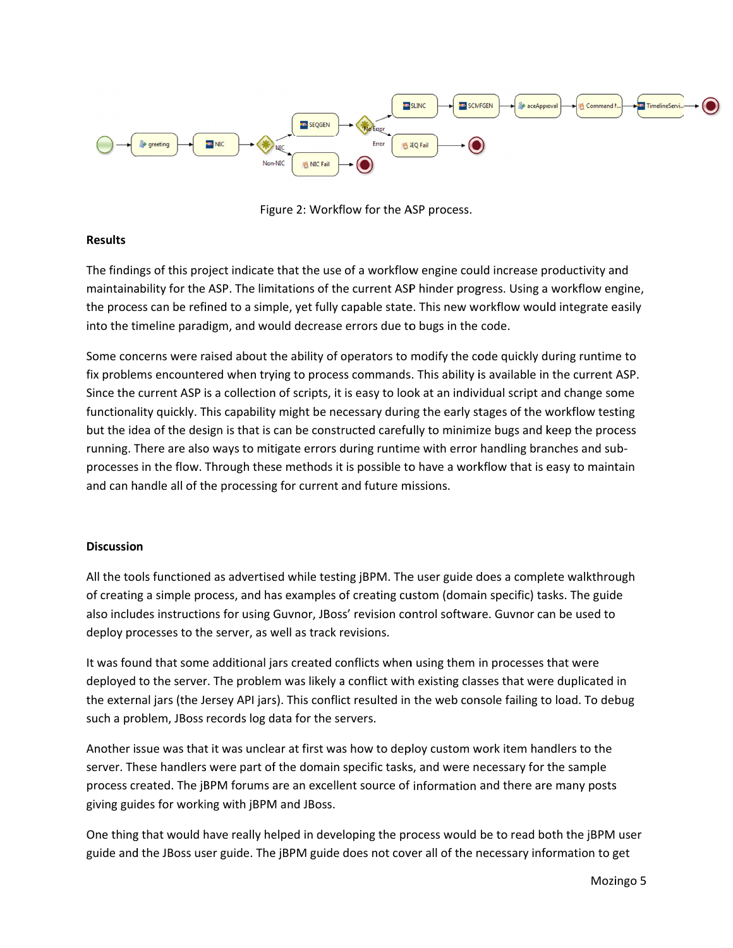

Figure 2: Workflow for the ASP process.

# **Results**

The findings of this project indicate that the use of a workflow engine could increase productivity and maintainability for the ASP. The limitations of the current ASP hinder progress. Using a workflow engine, the process can be refined to a simple, yet fully capable state. This new workflow would integrate easily into the timeline paradigm, and would decrease errors due to bugs in the code.

Some concerns were raised about the ability of operators to modify the code quickly during runtime to fix problems encountered when trying to process commands. This ability is available in the current ASP. Since the current ASP is a collection of scripts, it is easy to look at an individual script and change some functionality quickly. This capability might be necessary during the early stages of the workflow testing but the idea of the design is that is can be constructed carefully to minimize bugs and keep the process running. There are also ways to mitigate errors during runtime with error handling branches and subprocesses in the flow. Through these methods it is possible to have a workflow that is easy to maintain and can handle all of the processing for current and future missions.

# **Discussio n**

All the tools functioned as advertised while testing jBPM. The user guide does a complete walkthrough of creating a simple process, and has examples of creating custom (domain specific) tasks. The guide also includes instructions for using Guvnor, JBoss' revision control software. Guvnor can be used to deploy processes to the server, as well as track revisions.

It was found that some additional jars created conflicts when using them in processes that were deployed to the server. The problem was likely a conflict with existing classes that were duplicated in the external jars (the Jersey API jars). This conflict resulted in the web console failing to load. To debug such a problem, JBoss records log data for the servers.

Another issue was that it was unclear at first was how to deploy custom work item handlers to the server. These handlers were part of the domain specific tasks, and were necessary for the sample process created. The jBPM forums are an excellent source of information and there are many posts giving guides for working with jBPM and JBoss. process created. The jBPM forums are an excellent source of information and there are many posts<br>giving guides for working with jBPM and JBoss.<br>One thing that would have really helped in developing the process would be to

guide and the JBoss user guide. The jBPM guide does not cover all of the necessary information to get